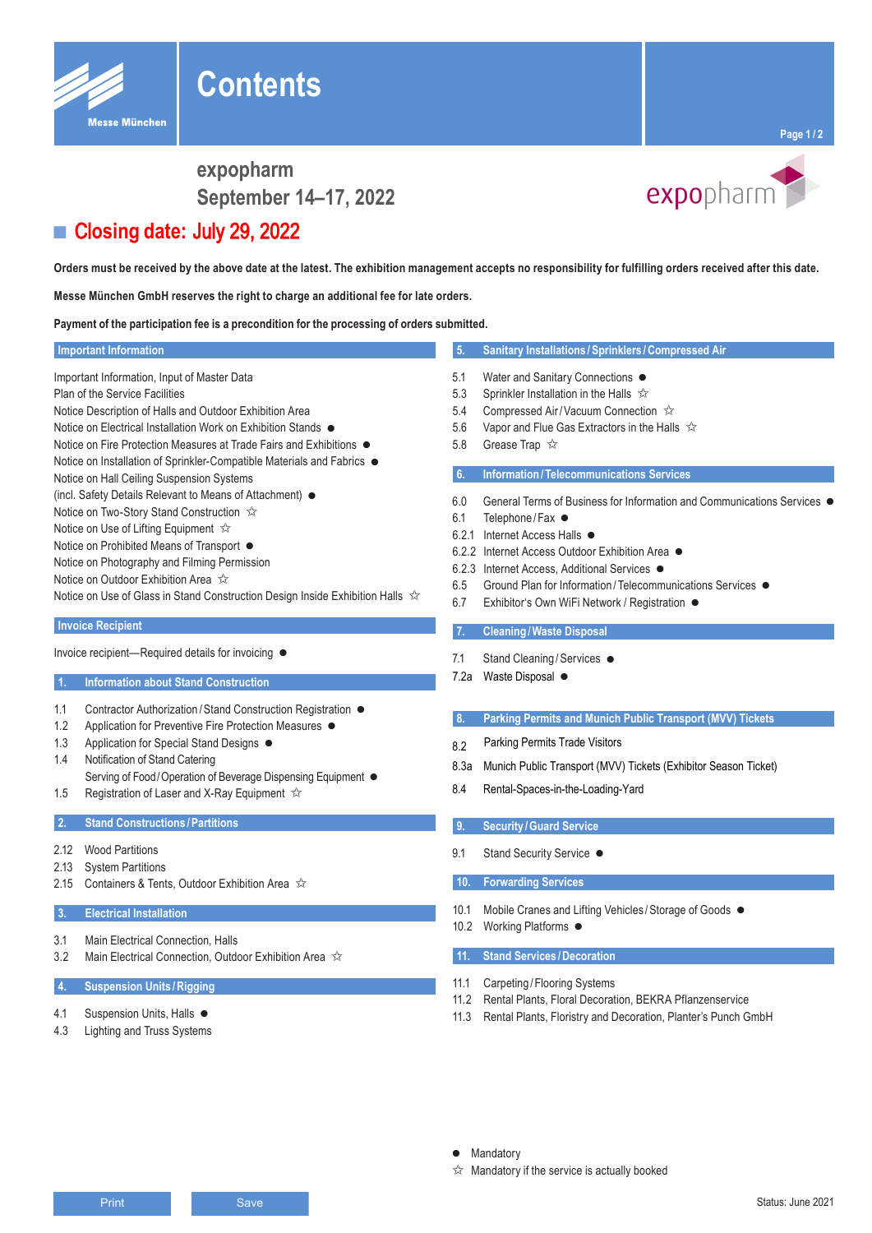expopharm September 14-17, 2022